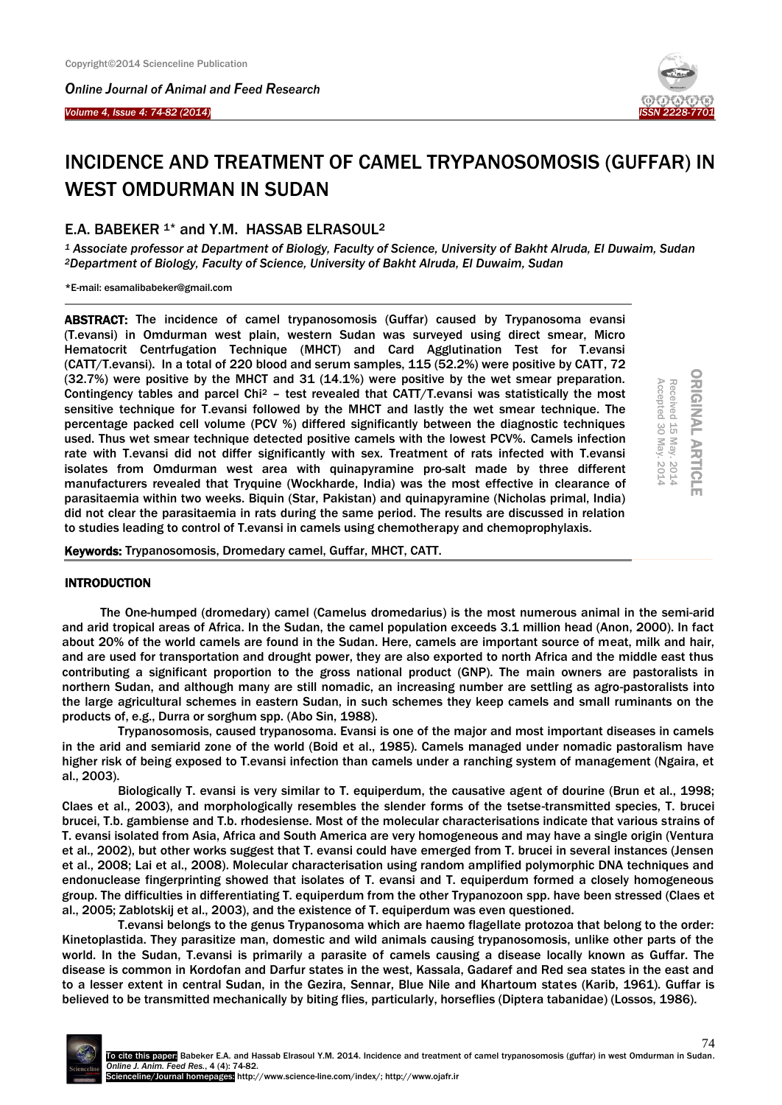*Online Journal of Animal and Feed Research* 



I



# INCIDENCE AND TREATMENT OF CAMEL TRYPANOSOMOSIS (GUFFAR) IN WEST OMDURMAN IN SUDAN

## E.A. BABEKER 1\* and Y.M. HASSAB ELRASOUL<sup>2</sup>

*<sup>1</sup> Associate professor at Department of Biology, Faculty of Science, University of Bakht Alruda, El Duwaim, Sudan <sup>2</sup>Department of Biology, Faculty of Science, University of Bakht Alruda, El Duwaim, Sudan*

\*E-mail: esamalibabeker@gmail.com

ABSTRACT: The incidence of camel trypanosomosis (Guffar) caused by Trypanosoma evansi (T.evansi) in Omdurman west plain, western Sudan was surveyed using direct smear, Micro Hematocrit Centrfugation Technique (MHCT) and Card Agglutination Test for T.evansi (CATT/T.evansi). In a total of 220 blood and serum samples, 115 (52.2%) were positive by CATT, 72 (32.7%) were positive by the MHCT and 31 (14.1%) were positive by the wet smear preparation. Contingency tables and parcel Chi<sup>2</sup> – test revealed that CATT/T.evansi was statistically the most sensitive technique for T.evansi followed by the MHCT and lastly the wet smear technique. The percentage packed cell volume (PCV %) differed significantly between the diagnostic techniques used. Thus wet smear technique detected positive camels with the lowest PCV%. Camels infection rate with T.evansi did not differ significantly with sex. Treatment of rats infected with T.evansi isolates from Omdurman west area with quinapyramine pro-salt made by three different manufacturers revealed that Tryquine (Wockharde, India) was the most effective in clearance of parasitaemia within two weeks. Biquin (Star, Pakistan) and quinapyramine (Nicholas primal, India) did not clear the parasitaemia in rats during the same period. The results are discussed in relation to studies leading to control of T.evansi in camels using chemotherapy and chemoprophylaxis. (32.7%) were positive by the MHCT and 31 (14.1%) were positive by the wet smear preparation.<br>Contingency tables and parcel Chi<sup>2</sup> – test revealed that CATT/T.evansi was statistically the most<br>sensitive technique for T.eva

| Accepted    | Rece<br>Š.<br>≏ |  |
|-------------|-----------------|--|
| ω<br>0      | 능               |  |
| ٠           | ×               |  |
| N<br>0<br>≏ | N<br>0          |  |

## **INTRODUCTION**

The One-humped (dromedary) camel (Camelus dromedarius) is the most numerous animal in the semi-arid and arid tropical areas of Africa. In the Sudan, the camel population exceeds 3.1 million head (Anon, 2000). In fact about 20% of the world camels are found in the Sudan. Here, camels are important source of meat, milk and hair, and are used for transportation and drought power, they are also exported to north Africa and the middle east thus contributing a significant proportion to the gross national product (GNP). The main owners are pastoralists in northern Sudan, and although many are still nomadic, an increasing number are settling as agro-pastoralists into the large agricultural schemes in eastern Sudan, in such schemes they keep camels and small ruminants on the products of, e.g., Durra or sorghum spp. (Abo Sin, 1988).

Trypanosomosis, caused trypanosoma. Evansi is one of the major and most important diseases in camels in the arid and semiarid zone of the world (Boid et al., 1985). Camels managed under nomadic pastoralism have higher risk of being exposed to T.evansi infection than camels under a ranching system of management (Ngaira, et al., 2003).

Biologically T. evansi is very similar to T. equiperdum, the causative agent of dourine (Brun et al., 1998; Claes et al., 2003), and morphologically resembles the slender forms of the tsetse-transmitted species, T. brucei brucei, T.b. gambiense and T.b. rhodesiense. Most of the molecular characterisations indicate that various strains of T. evansi isolated from Asia, Africa and South America are very homogeneous and may have a single origin (Ventura et al., 2002), but other works suggest that T. evansi could have emerged from T. brucei in several instances (Jensen et al., 2008; Lai et al., 2008). Molecular characterisation using random amplified polymorphic DNA techniques and endonuclease fingerprinting showed that isolates of T. evansi and T. equiperdum formed a closely homogeneous group. The difficulties in differentiating T. equiperdum from the other Trypanozoon spp. have been stressed (Claes et al., 2005; Zablotskij et al., 2003), and the existence of T. equiperdum was even questioned.

T.evansi belongs to the genus Trypanosoma which are haemo flagellate protozoa that belong to the order: Kinetoplastida. They parasitize man, domestic and wild animals causing trypanosomosis, unlike other parts of the world. In the Sudan, T.evansi is primarily a parasite of camels causing a disease locally known as Guffar. The disease is common in Kordofan and Darfur states in the west, Kassala, Gadaref and Red sea states in the east and to a lesser extent in central Sudan, in the Gezira, Sennar, Blue Nile and Khartoum states (Karib, 1961). Guffar is believed to be transmitted mechanically by biting flies, particularly, horseflies (Diptera tabanidae) (Lossos, 1986).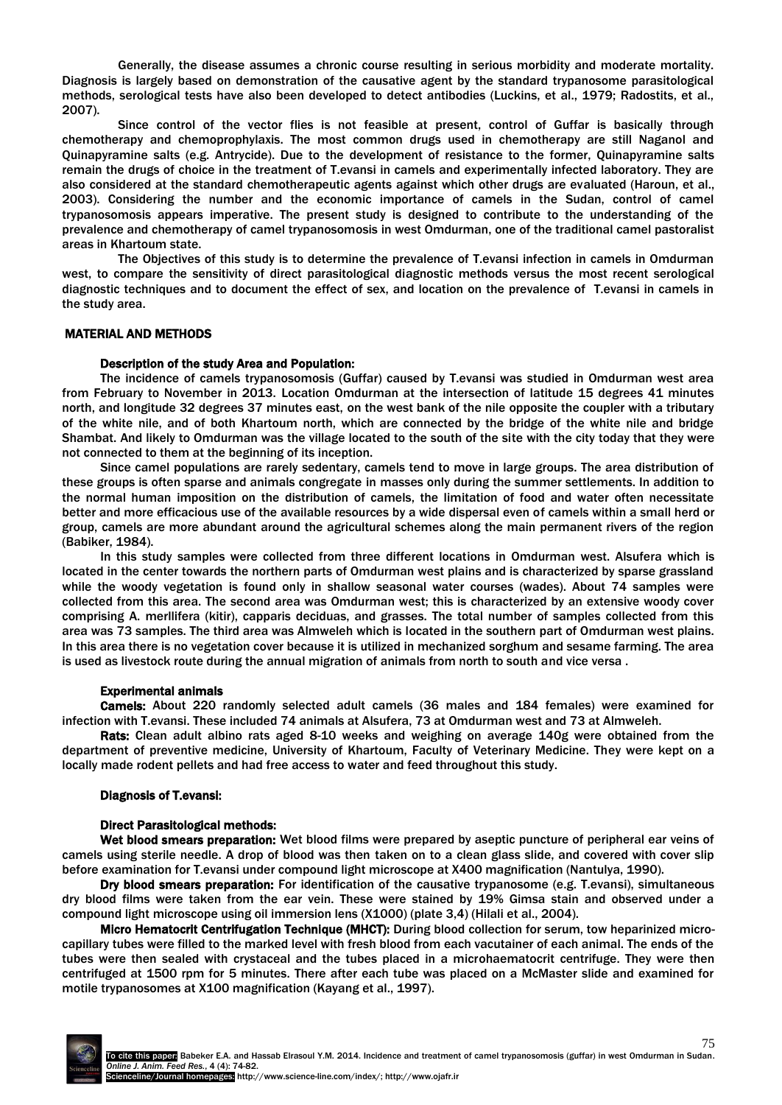Generally, the disease assumes a chronic course resulting in serious morbidity and moderate mortality. Diagnosis is largely based on demonstration of the causative agent by the standard trypanosome parasitological methods, serological tests have also been developed to detect antibodies (Luckins, et al., 1979; Radostits, et al., 2007).

Since control of the vector flies is not feasible at present, control of Guffar is basically through chemotherapy and chemoprophylaxis. The most common drugs used in chemotherapy are still Naganol and Quinapyramine salts (e.g. Antrycide). Due to the development of resistance to the former, Quinapyramine salts remain the drugs of choice in the treatment of T.evansi in camels and experimentally infected laboratory. They are also considered at the standard chemotherapeutic agents against which other drugs are evaluated (Haroun, et al., 2003). Considering the number and the economic importance of camels in the Sudan, control of camel trypanosomosis appears imperative. The present study is designed to contribute to the understanding of the prevalence and chemotherapy of camel trypanosomosis in west Omdurman, one of the traditional camel pastoralist areas in Khartoum state.

The Objectives of this study is to determine the prevalence of T.evansi infection in camels in Omdurman west, to compare the sensitivity of direct parasitological diagnostic methods versus the most recent serological diagnostic techniques and to document the effect of sex, and location on the prevalence of T.evansi in camels in the study area.

## MATERIAL AND METHODS

#### Description of the study Area and Population:

The incidence of camels trypanosomosis (Guffar) caused by T.evansi was studied in Omdurman west area from February to November in 2013. Location Omdurman at the intersection of latitude 15 degrees 41 minutes north, and longitude 32 degrees 37 minutes east, on the west bank of the nile opposite the coupler with a tributary of the white nile, and of both Khartoum north, which are connected by the bridge of the white nile and bridge Shambat. And likely to Omdurman was the village located to the south of the site with the city today that they were not connected to them at the beginning of its inception.

Since camel populations are rarely sedentary, camels tend to move in large groups. The area distribution of these groups is often sparse and animals congregate in masses only during the summer settlements. In addition to the normal human imposition on the distribution of camels, the limitation of food and water often necessitate better and more efficacious use of the available resources by a wide dispersal even of camels within a small herd or group, camels are more abundant around the agricultural schemes along the main permanent rivers of the region (Babiker, 1984).

In this study samples were collected from three different locations in Omdurman west. Alsufera which is located in the center towards the northern parts of Omdurman west plains and is characterized by sparse grassland while the woody vegetation is found only in shallow seasonal water courses (wades). About 74 samples were collected from this area. The second area was Omdurman west; this is characterized by an extensive woody cover comprising A. merllifera (kitir), capparis deciduas, and grasses. The total number of samples collected from this area was 73 samples. The third area was Almweleh which is located in the southern part of Omdurman west plains. In this area there is no vegetation cover because it is utilized in mechanized sorghum and sesame farming. The area is used as livestock route during the annual migration of animals from north to south and vice versa .

#### Experimental animals

Camels: About 220 randomly selected adult camels (36 males and 184 females) were examined for infection with T.evansi. These included 74 animals at Alsufera, 73 at Omdurman west and 73 at Almweleh.

Rats: Clean adult albino rats aged 8-10 weeks and weighing on average 140g were obtained from the department of preventive medicine, University of Khartoum, Faculty of Veterinary Medicine. They were kept on a locally made rodent pellets and had free access to water and feed throughout this study.

#### Diagnosis of T.evansi:

#### Direct Parasitological methods:

Wet blood smears preparation: Wet blood films were prepared by aseptic puncture of peripheral ear veins of camels using sterile needle. A drop of blood was then taken on to a clean glass slide, and covered with cover slip before examination for T.evansi under compound light microscope at X400 magnification (Nantulya, 1990).

Dry blood smears preparation: For identification of the causative trypanosome (e.g. T.evansi), simultaneous dry blood films were taken from the ear vein. These were stained by 19% Gimsa stain and observed under a compound light microscope using oil immersion lens (X1000) (plate 3,4) (Hilali et al., 2004).

Micro Hematocrit Centrifugation Technique (MHCT): During blood collection for serum, tow heparinized microcapillary tubes were filled to the marked level with fresh blood from each vacutainer of each animal. The ends of the tubes were then sealed with crystaceal and the tubes placed in a microhaematocrit centrifuge. They were then centrifuged at 1500 rpm for 5 minutes. There after each tube was placed on a McMaster slide and examined for motile trypanosomes at X100 magnification (Kayang et al., 1997).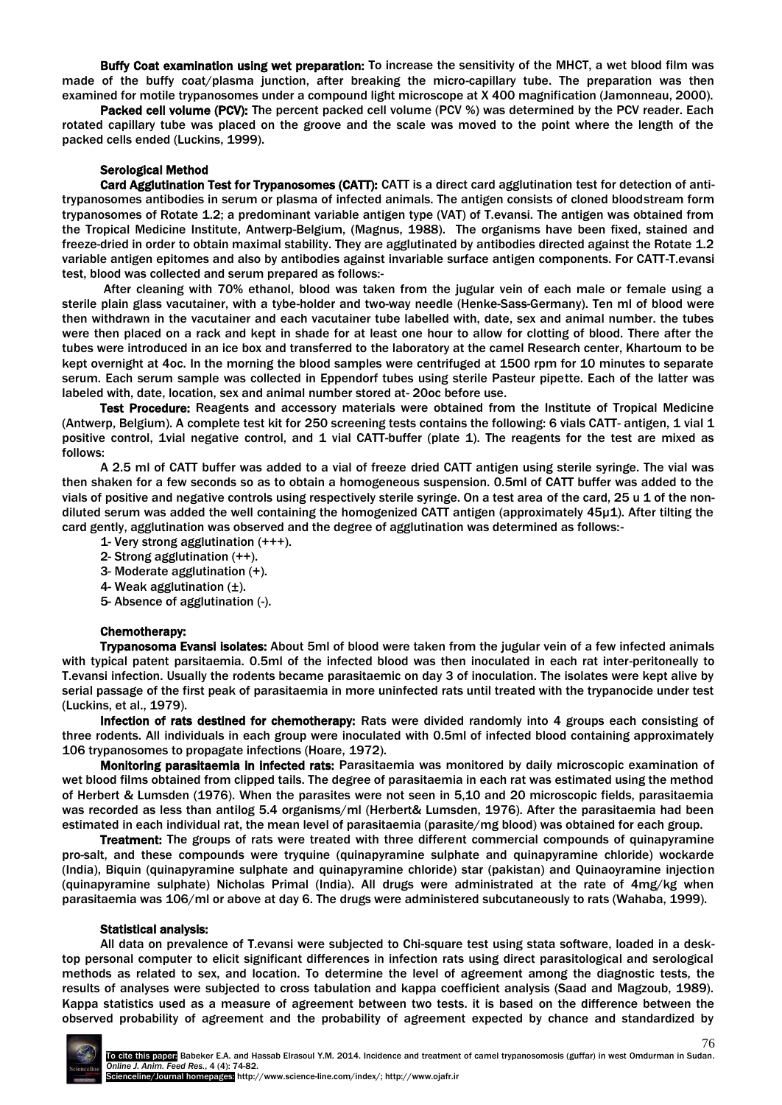Buffy Coat examination using wet preparation: To increase the sensitivity of the MHCT, a wet blood film was made of the buffy coat/plasma junction, after breaking the micro-capillary tube. The preparation was then examined for motile trypanosomes under a compound light microscope at X 400 magnification (Jamonneau, 2000).

Packed cell volume (PCV): The percent packed cell volume (PCV %) was determined by the PCV reader. Each rotated capillary tube was placed on the groove and the scale was moved to the point where the length of the packed cells ended (Luckins, 1999).

## Serological Method

Card Agglutination Test for Trypanosomes (CATT): CATT is a direct card agglutination test for detection of antitrypanosomes antibodies in serum or plasma of infected animals. The antigen consists of cloned bloodstream form trypanosomes of Rotate 1.2; a predominant variable antigen type (VAT) of T.evansi. The antigen was obtained from the Tropical Medicine Institute, Antwerp-Belgium, (Magnus, 1988). The organisms have been fixed, stained and freeze-dried in order to obtain maximal stability. They are agglutinated by antibodies directed against the Rotate 1.2 variable antigen epitomes and also by antibodies against invariable surface antigen components. For CATT-T.evansi test, blood was collected and serum prepared as follows:-

After cleaning with 70% ethanol, blood was taken from the jugular vein of each male or female using a sterile plain glass vacutainer, with a tybe-holder and two-way needle (Henke-Sass-Germany). Ten ml of blood were then withdrawn in the vacutainer and each vacutainer tube labelled with, date, sex and animal number. the tubes were then placed on a rack and kept in shade for at least one hour to allow for clotting of blood. There after the tubes were introduced in an ice box and transferred to the laboratory at the camel Research center, Khartoum to be kept overnight at 4oc. In the morning the blood samples were centrifuged at 1500 rpm for 10 minutes to separate serum. Each serum sample was collected in Eppendorf tubes using sterile Pasteur pipette. Each of the latter was labeled with, date, location, sex and animal number stored at- 20oc before use.

Test Procedure: Reagents and accessory materials were obtained from the Institute of Tropical Medicine (Antwerp, Belgium). A complete test kit for 250 screening tests contains the following: 6 vials CATT- antigen, 1 vial 1 positive control, 1vial negative control, and 1 vial CATT-buffer (plate 1). The reagents for the test are mixed as follows:

A 2.5 ml of CATT buffer was added to a vial of freeze dried CATT antigen using sterile syringe. The vial was then shaken for a few seconds so as to obtain a homogeneous suspension. 0.5ml of CATT buffer was added to the vials of positive and negative controls using respectively sterile syringe. On a test area of the card, 25 u 1 of the nondiluted serum was added the well containing the homogenized CATT antigen (approximately 45µ1). After tilting the card gently, agglutination was observed and the degree of agglutination was determined as follows:-

- 1- Very strong agglutination (+++).
- 2- Strong agglutination (++).
- 3- Moderate agglutination (+).
- 4- Weak agglutination (±).
- 5- Absence of agglutination (-).

## Chemotherapy:

Trypanosoma Evansi isolates: About 5ml of blood were taken from the jugular vein of a few infected animals with typical patent parsitaemia. 0.5ml of the infected blood was then inoculated in each rat inter-peritoneally to T.evansi infection. Usually the rodents became parasitaemic on day 3 of inoculation. The isolates were kept alive by serial passage of the first peak of parasitaemia in more uninfected rats until treated with the trypanocide under test (Luckins, et al., 1979).

Infection of rats destined for chemotherapy: Rats were divided randomly into 4 groups each consisting of three rodents. All individuals in each group were inoculated with 0.5ml of infected blood containing approximately 106 trypanosomes to propagate infections (Hoare, 1972).

Monitoring parasitaemia in infected rats: Parasitaemia was monitored by daily microscopic examination of wet blood films obtained from clipped tails. The degree of parasitaemia in each rat was estimated using the method of Herbert & Lumsden (1976). When the parasites were not seen in 5,10 and 20 microscopic fields, parasitaemia was recorded as less than antilog 5.4 organisms/ml (Herbert& Lumsden, 1976). After the parasitaemia had been estimated in each individual rat, the mean level of parasitaemia (parasite/mg blood) was obtained for each group.

Treatment: The groups of rats were treated with three different commercial compounds of quinapyramine pro-salt, and these compounds were tryquine (quinapyramine sulphate and quinapyramine chloride) wockarde (India), Biquin (quinapyramine sulphate and quinapyramine chloride) star (pakistan) and Quinaoyramine injection (quinapyramine sulphate) Nicholas Primal (India). All drugs were administrated at the rate of 4mg/kg when parasitaemia was 106/ml or above at day 6. The drugs were administered subcutaneously to rats (Wahaba, 1999).

#### Statistical analysis:

All data on prevalence of T.evansi were subjected to Chi-square test using stata software, loaded in a desktop personal computer to elicit significant differences in infection rats using direct parasitological and serological methods as related to sex, and location. To determine the level of agreement among the diagnostic tests, the results of analyses were subjected to cross tabulation and kappa coefficient analysis (Saad and Magzoub, 1989). Kappa statistics used as a measure of agreement between two tests. it is based on the difference between the observed probability of agreement and the probability of agreement expected by chance and standardized by

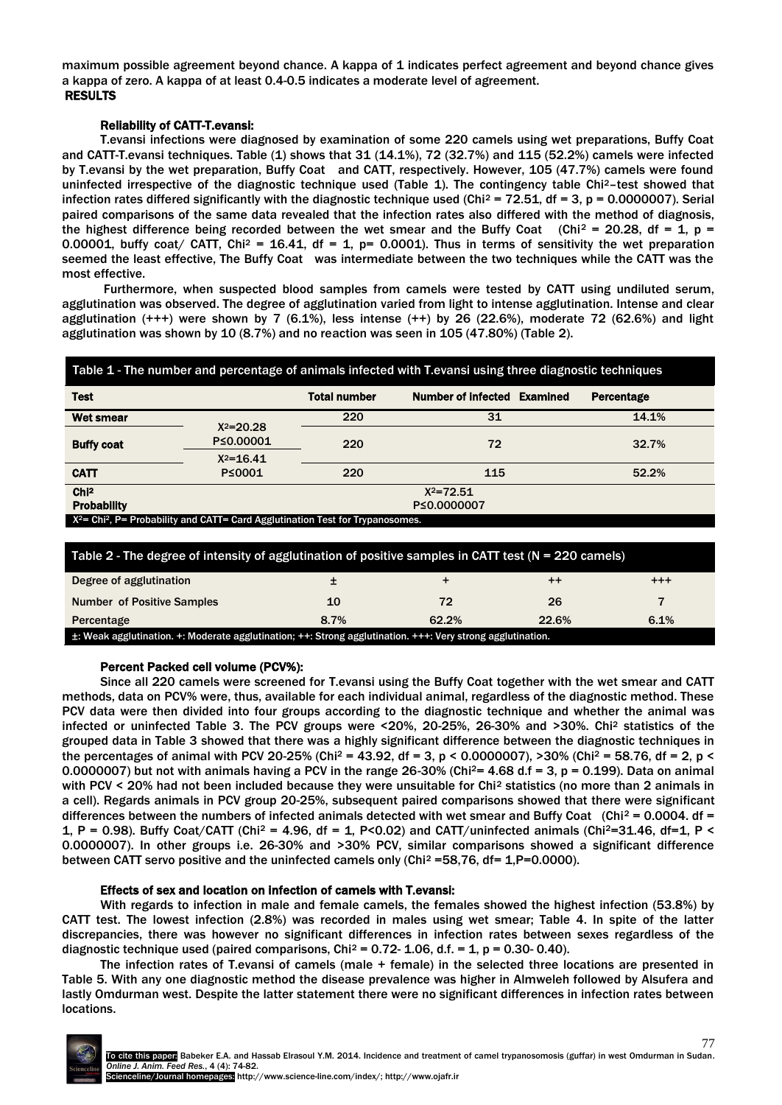maximum possible agreement beyond chance. A kappa of 1 indicates perfect agreement and beyond chance gives a kappa of zero. A kappa of at least 0.4-0.5 indicates a moderate level of agreement. RESULTS

## Reliability of CATT-T.evansi:

T.evansi infections were diagnosed by examination of some 220 camels using wet preparations, Buffy Coat and CATT-T.evansi techniques. Table (1) shows that 31 (14.1%), 72 (32.7%) and 115 (52.2%) camels were infected by T.evansi by the wet preparation, Buffy Coat and CATT, respectively. However, 105 (47.7%) camels were found uninfected irrespective of the diagnostic technique used (Table 1). The contingency table Chi2–test showed that infection rates differed significantly with the diagnostic technique used (Chi<sup>2</sup> = 72.51, df = 3, p = 0.0000007). Serial paired comparisons of the same data revealed that the infection rates also differed with the method of diagnosis, the highest difference being recorded between the wet smear and the Buffy Coat (Chi<sup>2</sup> = 20.28, df = 1, p = 0.00001, buffy coat/ CATT, Chi<sup>2</sup> = 16.41, df = 1, p= 0.0001). Thus in terms of sensitivity the wet preparation seemed the least effective, The Buffy Coat was intermediate between the two techniques while the CATT was the most effective.

Furthermore, when suspected blood samples from camels were tested by CATT using undiluted serum, agglutination was observed. The degree of agglutination varied from light to intense agglutination. Intense and clear agglutination  $(+++)$  were shown by 7 (6.1%), less intense  $(++)$  by 26 (22.6%), moderate 72 (62.6%) and light agglutination was shown by 10 (8.7%) and no reaction was seen in 105 (47.80%) (Table 2).

| Table 1 - The number and percentage of animals infected with T.evansi using three diagnostic techniques |                            |                     |                             |                   |  |
|---------------------------------------------------------------------------------------------------------|----------------------------|---------------------|-----------------------------|-------------------|--|
| <b>Test</b>                                                                                             |                            | <b>Total number</b> | Number of infected Examined | <b>Percentage</b> |  |
| <b>Wet smear</b>                                                                                        |                            | 220                 | 31                          | 14.1%             |  |
| <b>Buffy coat</b>                                                                                       | $X^2 = 20.28$<br>P≤0.00001 | 220                 | 72                          | 32.7%             |  |
| <b>CATT</b>                                                                                             | $X^2 = 16.41$<br>P≤0001    | 220                 | 115                         | 52.2%             |  |
| Ch12<br>$X^2 = 72.51$<br><b>Probability</b><br>P≤0.0000007                                              |                            |                     |                             |                   |  |
| $X^2$ = Chi <sup>2</sup> , P = Probability and CATT = Card Agglutination Test for Trypanosomes.         |                            |                     |                             |                   |  |

| Table 2 - The degree of intensity of agglutination of positive samples in CATT test ( $N = 220$ camels)     |      |       |                 |          |  |
|-------------------------------------------------------------------------------------------------------------|------|-------|-----------------|----------|--|
| Degree of agglutination                                                                                     |      |       | $^{\mathrm{+}}$ | $^{+++}$ |  |
| <b>Number of Positive Samples</b>                                                                           | 10   | 72    | 26              |          |  |
| Percentage                                                                                                  | 8.7% | 62.2% | 22.6%           | 6.1%     |  |
| ±: Weak agglutination. +: Moderate agglutination; ++: Strong agglutination. +++: Very strong agglutination. |      |       |                 |          |  |

## Percent Packed cell volume (PCV%):

Since all 220 camels were screened for T.evansi using the Buffy Coat together with the wet smear and CATT methods, data on PCV% were, thus, available for each individual animal, regardless of the diagnostic method. These PCV data were then divided into four groups according to the diagnostic technique and whether the animal was infected or uninfected Table 3. The PCV groups were <20%, 20-25%, 26-30% and >30%. Chi<sup>2</sup> statistics of the grouped data in Table 3 showed that there was a highly significant difference between the diagnostic techniques in the percentages of animal with PCV 20-25% (Chi<sup>2</sup> = 43.92, df = 3, p < 0.0000007), >30% (Chi<sup>2</sup> = 58.76, df = 2, p < 0.0000007) but not with animals having a PCV in the range 26-30% (Chi<sup>2</sup>= 4.68 d.f = 3, p = 0.199). Data on animal with PCV < 20% had not been included because they were unsuitable for Chi<sup>2</sup> statistics (no more than 2 animals in a cell). Regards animals in PCV group 20-25%, subsequent paired comparisons showed that there were significant differences between the numbers of infected animals detected with wet smear and Buffy Coat (Chi<sup>2</sup> = 0.0004. df = 1, P = 0.98). Buffy Coat/CATT (Chi<sup>2</sup> = 4.96, df = 1, P<0.02) and CATT/uninfected animals (Chi<sup>2</sup>=31.46, df=1, P < 0.0000007). In other groups i.e. 26-30% and >30% PCV, similar comparisons showed a significant difference between CATT servo positive and the uninfected camels only (Chi<sup>2</sup> = 58,76, df = 1,P=0.0000).

## Effects of sex and location on infection of camels with T.evansi:

With regards to infection in male and female camels, the females showed the highest infection (53.8%) by CATT test. The lowest infection (2.8%) was recorded in males using wet smear; Table 4. In spite of the latter discrepancies, there was however no significant differences in infection rates between sexes regardless of the diagnostic technique used (paired comparisons,  $Chi^2 = 0.72 - 1.06$ , d.f. = 1, p = 0.30-0.40).

The infection rates of T.evansi of camels (male + female) in the selected three locations are presented in Table 5. With any one diagnostic method the disease prevalence was higher in Almweleh followed by Alsufera and lastly Omdurman west. Despite the latter statement there were no significant differences in infection rates between locations.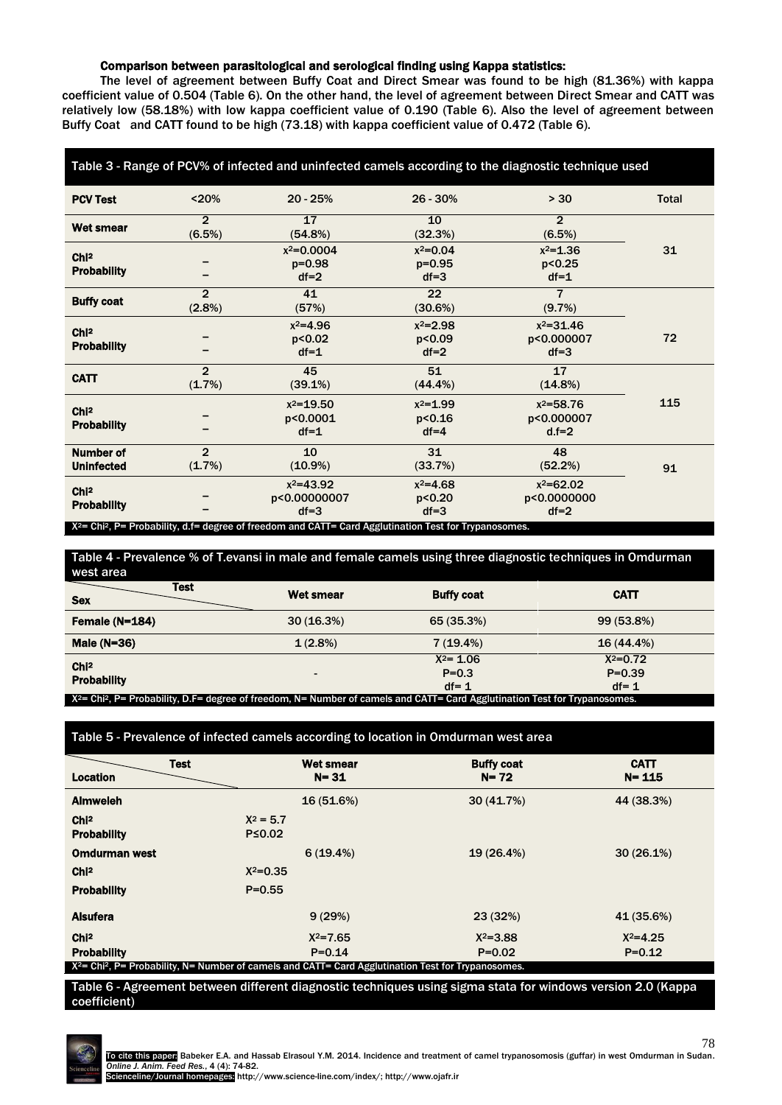## Comparison between parasitological and serological finding using Kappa statistics:

The level of agreement between Buffy Coat and Direct Smear was found to be high (81.36%) with kappa coefficient value of 0.504 (Table 6). On the other hand, the level of agreement between Direct Smear and CATT was relatively low (58.18%) with low kappa coefficient value of 0.190 (Table 6). Also the level of agreement between Buffy Coat and CATT found to be high (73.18) with kappa coefficient value of 0.472 (Table 6).

| Table 3 - Range of PCV% of infected and uninfected camels according to the diagnostic technique used |                          |                                                                                                                                                                             |                                      |                                          |              |
|------------------------------------------------------------------------------------------------------|--------------------------|-----------------------------------------------------------------------------------------------------------------------------------------------------------------------------|--------------------------------------|------------------------------------------|--------------|
| <b>PCV Test</b>                                                                                      | < 20%                    | $20 - 25%$                                                                                                                                                                  | 26 - 30%                             | > 30                                     | <b>Total</b> |
| <b>Wet smear</b>                                                                                     | $\overline{2}$<br>(6.5%) | 17<br>(54.8%)                                                                                                                                                               | 10<br>(32.3%)                        | $\overline{2}$<br>(6.5%)                 |              |
| Chi <sup>2</sup><br><b>Probability</b>                                                               |                          | $x^2=0.0004$<br>$p = 0.98$<br>$df = 2$                                                                                                                                      | $x^2=0.04$<br>$p = 0.95$<br>$df = 3$ | $x^2 = 1.36$<br>p < 0.25<br>$df = 1$     | 31           |
| <b>Buffy coat</b>                                                                                    | $\overline{2}$<br>(2.8%) | 41<br>(57%)                                                                                                                                                                 | 22<br>(30.6%)                        | $\overline{7}$<br>(9.7%)                 |              |
| ChI <sup>2</sup><br><b>Probability</b>                                                               |                          | $x^2 = 4.96$<br>p<0.02<br>$df = 1$                                                                                                                                          | $x^2 = 2.98$<br>p<0.09<br>$df=2$     | $x^2 = 31.46$<br>p<0.000007<br>$df = 3$  | 72           |
| <b>CATT</b>                                                                                          | $\overline{2}$<br>(1.7%) | 45<br>(39.1%)                                                                                                                                                               | 51<br>$(44.4\%)$                     | 17<br>$(14.8\%)$                         |              |
| Chi <sup>2</sup><br><b>Probability</b>                                                               |                          | $x^2 = 19.50$<br>p<0.0001<br>$df = 1$                                                                                                                                       | $x^2 = 1.99$<br>p<0.16<br>$df = 4$   | $x^2 = 58.76$<br>p<0.000007<br>$d.f = 2$ | 115          |
| <b>Number of</b><br><b>Uninfected</b>                                                                | $\overline{2}$<br>(1.7%) | 10<br>$(10.9\%)$                                                                                                                                                            | 31<br>(33.7%)                        | 48<br>(52.2%)                            | 91           |
| ChI <sup>2</sup><br><b>Probability</b>                                                               |                          | $x^2 = 43.92$<br>p<0.00000007<br>$df = 3$<br>X <sup>2</sup> = Chi <sup>2</sup> , P= Probability, d.f= degree of freedom and CATT= Card Agglutination Test for Trypanosomes. | $x^2 = 4.68$<br>p < 0.20<br>$df = 3$ | $x^2=62.02$<br>p<0.0000000<br>$df = 2$   |              |

| Table 4 - Prevalence % of T.evansi in male and female camels using three diagnostic techniques in Omdurman |                                                                                                                                            |                                       |                                        |  |  |
|------------------------------------------------------------------------------------------------------------|--------------------------------------------------------------------------------------------------------------------------------------------|---------------------------------------|----------------------------------------|--|--|
| west area                                                                                                  |                                                                                                                                            |                                       |                                        |  |  |
| <b>Test</b><br><b>Sex</b>                                                                                  | <b>Wet smear</b>                                                                                                                           | <b>Buffy coat</b>                     | <b>CATT</b>                            |  |  |
| Female (N=184)                                                                                             | 30(16.3%)                                                                                                                                  | 65 (35.3%)                            | 99 (53.8%)                             |  |  |
| Male $(N=36)$                                                                                              | 1(2.8%)                                                                                                                                    | 7(19.4%)                              | 16 (44.4%)                             |  |  |
| Chi <sup>2</sup><br><b>Probability</b>                                                                     |                                                                                                                                            | $X^2 = 1.06$<br>$P = 0.3$<br>$df = 1$ | $X^2 = 0.72$<br>$P = 0.39$<br>$df = 1$ |  |  |
|                                                                                                            | $X^2$ = Chi <sup>2</sup> , P= Probability, D.F= degree of freedom, N= Number of camels and CATT= Card Agglutination Test for Trypanosomes. |                                       |                                        |  |  |

Table 5 - Prevalence of infected camels according to location in Omdurman west area

| <b>Test</b>                                                                                                        | <b>Wet smear</b> | <b>Buffy coat</b> | <b>CATT</b>  |  |
|--------------------------------------------------------------------------------------------------------------------|------------------|-------------------|--------------|--|
| <b>Location</b>                                                                                                    | $N = 31$         | $N = 72$          | $N = 115$    |  |
| <b>Almweleh</b>                                                                                                    | 16 (51.6%)       | 30(41.7%)         | 44 (38.3%)   |  |
| Chi <sup>2</sup>                                                                                                   | $X^2 = 5.7$      |                   |              |  |
| <b>Probability</b>                                                                                                 | $P \le 0.02$     |                   |              |  |
| <b>Omdurman west</b>                                                                                               | 6(19.4%)         | 19 (26.4%)        | 30(26.1%)    |  |
| ChI <sup>2</sup>                                                                                                   | $X^2 = 0.35$     |                   |              |  |
| <b>Probability</b>                                                                                                 | $P = 0.55$       |                   |              |  |
| <b>Alsufera</b>                                                                                                    | 9(29%)           | 23(32%)           | 41 (35.6%)   |  |
| Chi <sup>2</sup>                                                                                                   | $X^2 = 7.65$     | $X^2 = 3.88$      | $X^2 = 4.25$ |  |
| <b>Probability</b>                                                                                                 | $P = 0.14$       | $P = 0.02$        | $P = 0.12$   |  |
| $X^2$ = Chi <sup>2</sup> , P= Probability, N= Number of camels and CATT= Card Agglutination Test for Trypanosomes. |                  |                   |              |  |

Table 6 - Agreement between different diagnostic techniques using sigma stata for windows version 2.0 (Kappa coefficient)

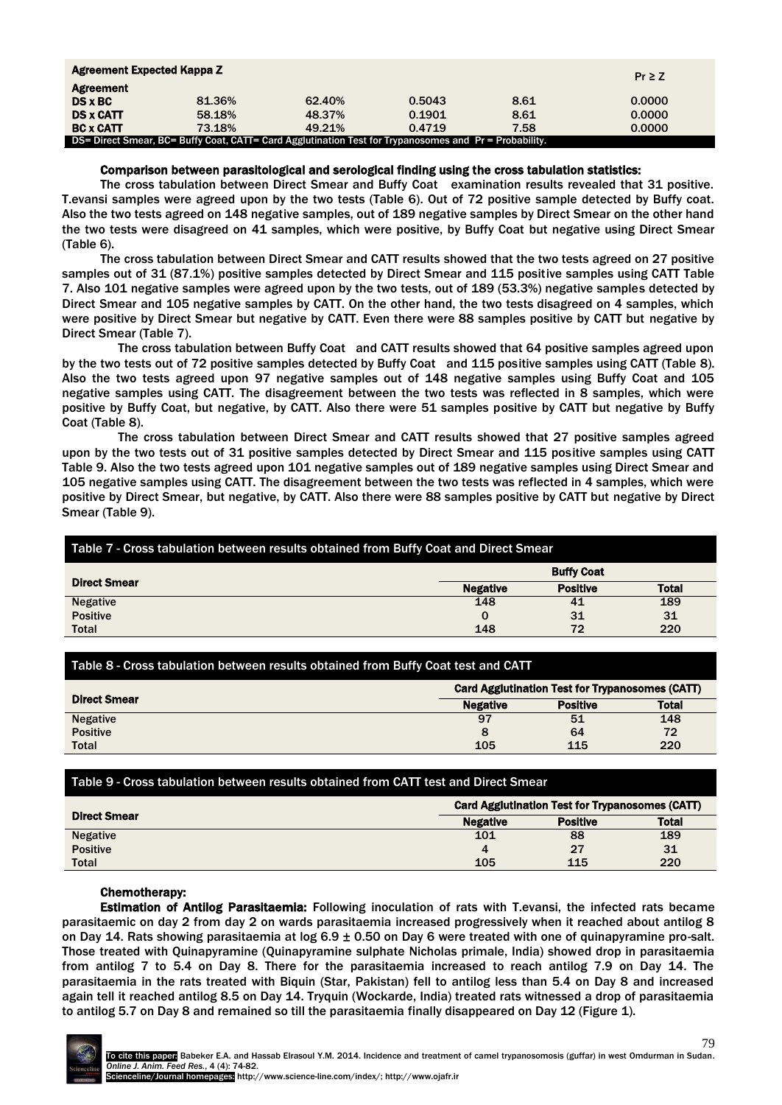| Agreement Expected Kappa Z |                                                                                                        |        |        |      | $Pr \ge Z$ |
|----------------------------|--------------------------------------------------------------------------------------------------------|--------|--------|------|------------|
| <b>Agreement</b>           |                                                                                                        |        |        |      |            |
| $DS \times BC$             | 81.36%                                                                                                 | 62.40% | 0.5043 | 8.61 | 0.0000     |
| <b>DS x CATT</b>           | 58.18%                                                                                                 | 48.37% | 0.1901 | 8.61 | 0.0000     |
| <b>BC x CATT</b>           | 73.18%                                                                                                 | 49.21% | 0.4719 | 7.58 | 0.0000     |
|                            | DS= Direct Smear, BC= Buffy Coat, CATT= Card Agglutination Test for Trypanosomes and Pr = Probability. |        |        |      |            |

## Comparison between parasitological and serological finding using the cross tabulation statistics:

The cross tabulation between Direct Smear and Buffy Coat examination results revealed that 31 positive. T.evansi samples were agreed upon by the two tests (Table 6). Out of 72 positive sample detected by Buffy coat. Also the two tests agreed on 148 negative samples, out of 189 negative samples by Direct Smear on the other hand the two tests were disagreed on 41 samples, which were positive, by Buffy Coat but negative using Direct Smear (Table 6).

The cross tabulation between Direct Smear and CATT results showed that the two tests agreed on 27 positive samples out of 31 (87.1%) positive samples detected by Direct Smear and 115 positive samples using CATT Table 7. Also 101 negative samples were agreed upon by the two tests, out of 189 (53.3%) negative samples detected by Direct Smear and 105 negative samples by CATT. On the other hand, the two tests disagreed on 4 samples, which were positive by Direct Smear but negative by CATT. Even there were 88 samples positive by CATT but negative by Direct Smear (Table 7).

The cross tabulation between Buffy Coat and CATT results showed that 64 positive samples agreed upon by the two tests out of 72 positive samples detected by Buffy Coat and 115 positive samples using CATT (Table 8). Also the two tests agreed upon 97 negative samples out of 148 negative samples using Buffy Coat and 105 negative samples using CATT. The disagreement between the two tests was reflected in 8 samples, which were positive by Buffy Coat, but negative, by CATT. Also there were 51 samples positive by CATT but negative by Buffy Coat (Table 8).

The cross tabulation between Direct Smear and CATT results showed that 27 positive samples agreed upon by the two tests out of 31 positive samples detected by Direct Smear and 115 positive samples using CATT Table 9. Also the two tests agreed upon 101 negative samples out of 189 negative samples using Direct Smear and 105 negative samples using CATT. The disagreement between the two tests was reflected in 4 samples, which were positive by Direct Smear, but negative, by CATT. Also there were 88 samples positive by CATT but negative by Direct Smear (Table 9).

| Table 7 - Cross tabulation between results obtained from Buffy Coat and Direct Smear |                 |                   |              |
|--------------------------------------------------------------------------------------|-----------------|-------------------|--------------|
|                                                                                      |                 | <b>Buffy Coat</b> |              |
| <b>Direct Smear</b>                                                                  | <b>Negative</b> | <b>Positive</b>   | <b>Total</b> |
| <b>Negative</b>                                                                      | 148             | 41                | 189          |
| <b>Positive</b>                                                                      | 0               | 31                | 31           |
| <b>Total</b>                                                                         | 148             | 72                | 220          |

| Table 8 - Cross tabulation between results obtained from Buffy Coat test and CATT |                                                        |                 |              |
|-----------------------------------------------------------------------------------|--------------------------------------------------------|-----------------|--------------|
|                                                                                   | <b>Card Agglutination Test for Trypanosomes (CATT)</b> |                 |              |
| <b>Direct Smear</b>                                                               | <b>Negative</b>                                        | <b>Positive</b> | <b>Total</b> |
| <b>Negative</b>                                                                   | 97                                                     | 51              | 148          |
| <b>Positive</b>                                                                   | 8                                                      | 64              | 72           |
| <b>Total</b>                                                                      | 105                                                    | 115             | 220          |

## Table 9 - Cross tabulation between results obtained from CATT test and Direct Smear

|                     | Card Agglutination Test for Trypanosomes (CATT) |                 |              |
|---------------------|-------------------------------------------------|-----------------|--------------|
| <b>Direct Smear</b> | <b>Negative</b>                                 | <b>Positive</b> | <b>Total</b> |
| <b>Negative</b>     | 101                                             | 88              | 189          |
| <b>Positive</b>     |                                                 | 27              | 31           |
| <b>Total</b>        | 105                                             | 115             | 220          |

## Chemotherapy:

Estimation of Antilog Parasitaemia: Following inoculation of rats with T.evansi, the infected rats became parasitaemic on day 2 from day 2 on wards parasitaemia increased progressively when it reached about antilog 8 on Day 14. Rats showing parasitaemia at log 6.9 ± 0.50 on Day 6 were treated with one of quinapyramine pro-salt. Those treated with Quinapyramine (Quinapyramine sulphate Nicholas primale, India) showed drop in parasitaemia from antilog 7 to 5.4 on Day 8. There for the parasitaemia increased to reach antilog 7.9 on Day 14. The parasitaemia in the rats treated with Biquin (Star, Pakistan) fell to antilog less than 5.4 on Day 8 and increased again tell it reached antilog 8.5 on Day 14. Tryquin (Wockarde, India) treated rats witnessed a drop of parasitaemia to antilog 5.7 on Day 8 and remained so till the parasitaemia finally disappeared on Day 12 (Figure 1).

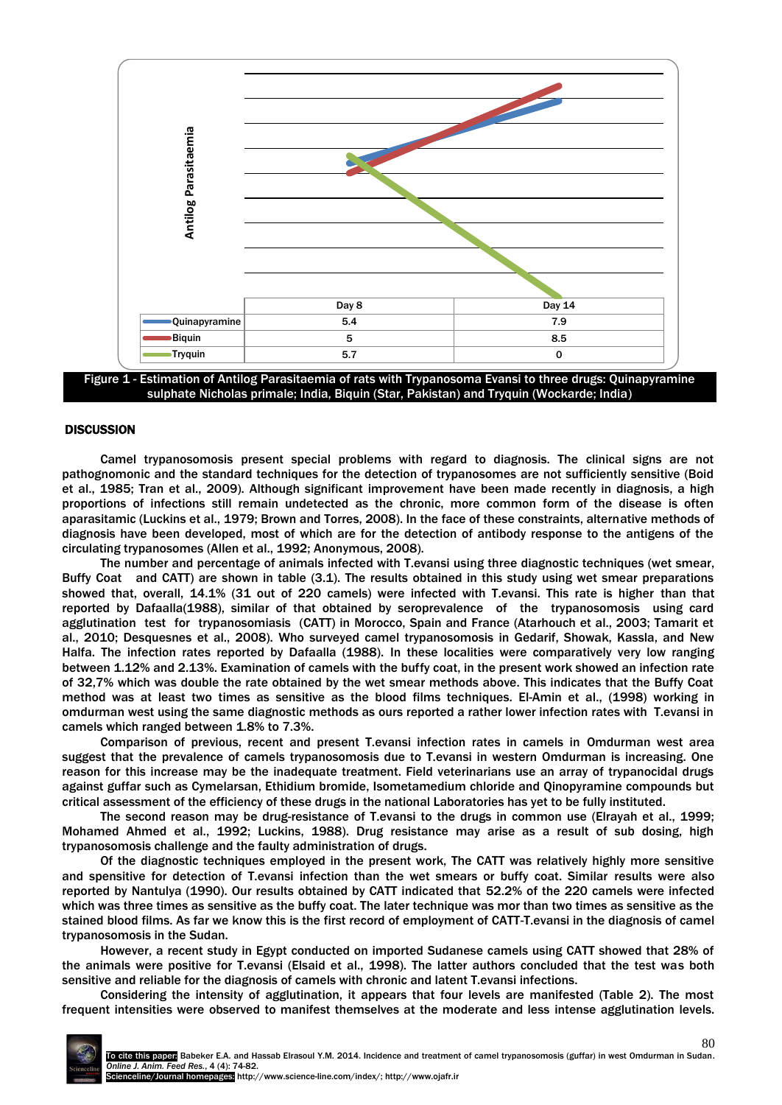

Figure 1 - Estimation of Antilog Parasitaemia of rats with Trypanosoma Evansi to three drugs: Quinapyramine sulphate Nicholas primale; India, Biquin (Star, Pakistan) and Tryquin (Wockarde; India)

## **DISCUSSION**

Camel trypanosomosis present special problems with regard to diagnosis. The clinical signs are not pathognomonic and the standard techniques for the detection of trypanosomes are not sufficiently sensitive (Boid et al., 1985; Tran et al., 2009). Although significant improvement have been made recently in diagnosis, a high proportions of infections still remain undetected as the chronic, more common form of the disease is often aparasitamic (Luckins et al., 1979; Brown and Torres, 2008). In the face of these constraints, alternative methods of diagnosis have been developed, most of which are for the detection of antibody response to the antigens of the circulating trypanosomes (Allen et al., 1992; Anonymous, 2008).

The number and percentage of animals infected with T.evansi using three diagnostic techniques (wet smear, Buffy Coat and CATT) are shown in table (3.1). The results obtained in this study using wet smear preparations showed that, overall, 14.1% (31 out of 220 camels) were infected with T.evansi. This rate is higher than that reported by Dafaalla(1988), similar of that obtained by seroprevalence of the trypanosomosis using card agglutination test for trypanosomiasis (CATT) in Morocco, Spain and France (Atarhouch et al., 2003; Tamarit et al., 2010; Desquesnes et al., 2008). Who surveyed camel trypanosomosis in Gedarif, Showak, Kassla, and New Halfa. The infection rates reported by Dafaalla (1988). In these localities were comparatively very low ranging between 1.12% and 2.13%. Examination of camels with the buffy coat, in the present work showed an infection rate of 32,7% which was double the rate obtained by the wet smear methods above. This indicates that the Buffy Coat method was at least two times as sensitive as the blood films techniques. El-Amin et al., (1998) working in omdurman west using the same diagnostic methods as ours reported a rather lower infection rates with T.evansi in camels which ranged between 1.8% to 7.3%.

Comparison of previous, recent and present T.evansi infection rates in camels in Omdurman west area suggest that the prevalence of camels trypanosomosis due to T.evansi in western Omdurman is increasing. One reason for this increase may be the inadequate treatment. Field veterinarians use an array of trypanocidal drugs against guffar such as Cymelarsan, Ethidium bromide, Isometamedium chloride and Qinopyramine compounds but critical assessment of the efficiency of these drugs in the national Laboratories has yet to be fully instituted.

The second reason may be drug-resistance of T.evansi to the drugs in common use (Elrayah et al., 1999; Mohamed Ahmed et al., 1992; Luckins, 1988). Drug resistance may arise as a result of sub dosing, high trypanosomosis challenge and the faulty administration of drugs.

Of the diagnostic techniques employed in the present work, The CATT was relatively highly more sensitive and spensitive for detection of T.evansi infection than the wet smears or buffy coat. Similar results were also reported by Nantulya (1990). Our results obtained by CATT indicated that 52.2% of the 220 camels were infected which was three times as sensitive as the buffy coat. The later technique was mor than two times as sensitive as the stained blood films. As far we know this is the first record of employment of CATT-T.evansi in the diagnosis of camel trypanosomosis in the Sudan.

However, a recent study in Egypt conducted on imported Sudanese camels using CATT showed that 28% of the animals were positive for T.evansi (Elsaid et al., 1998). The latter authors concluded that the test was both sensitive and reliable for the diagnosis of camels with chronic and latent T.evansi infections.

Considering the intensity of agglutination, it appears that four levels are manifested (Table 2). The most frequent intensities were observed to manifest themselves at the moderate and less intense agglutination levels.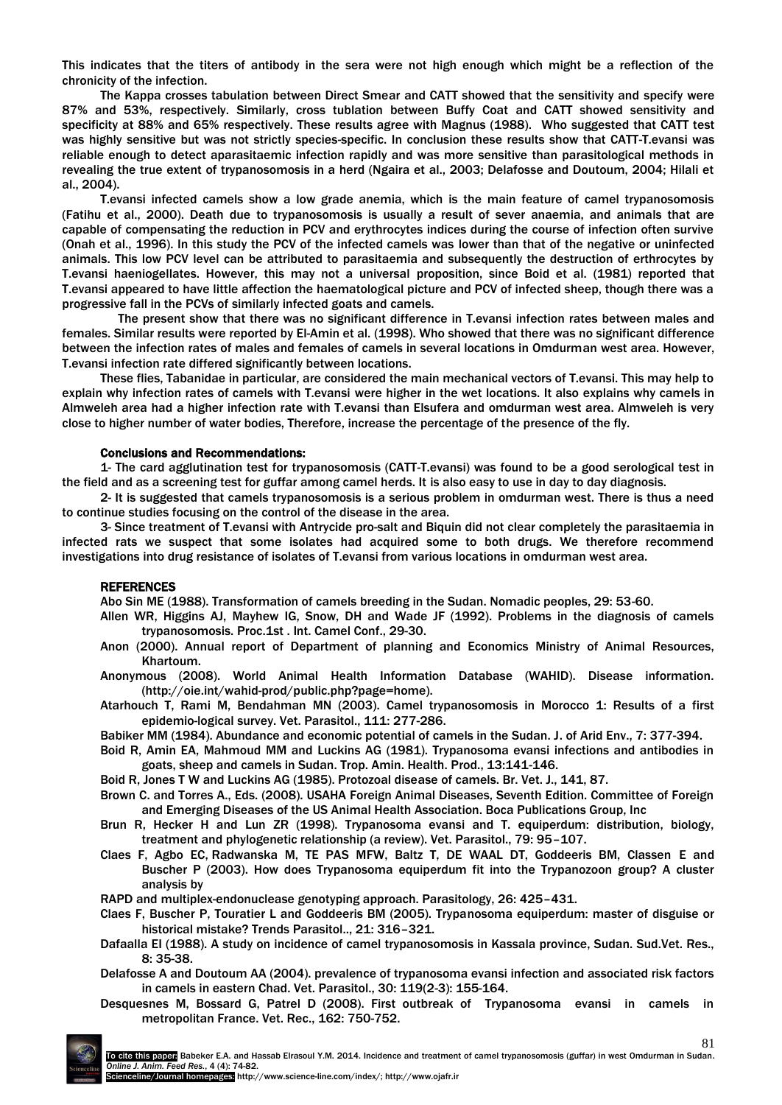This indicates that the titers of antibody in the sera were not high enough which might be a reflection of the chronicity of the infection.

The Kappa crosses tabulation between Direct Smear and CATT showed that the sensitivity and specify were 87% and 53%, respectively. Similarly, cross tublation between Buffy Coat and CATT showed sensitivity and specificity at 88% and 65% respectively. These results agree with Magnus (1988). Who suggested that CATT test was highly sensitive but was not strictly species-specific. In conclusion these results show that CATT-T.evansi was reliable enough to detect aparasitaemic infection rapidly and was more sensitive than parasitological methods in revealing the true extent of trypanosomosis in a herd (Ngaira et al., 2003; Delafosse and Doutoum, 2004; Hilali et al., 2004).

T.evansi infected camels show a low grade anemia, which is the main feature of camel trypanosomosis (Fatihu et al., 2000). Death due to trypanosomosis is usually a result of sever anaemia, and animals that are capable of compensating the reduction in PCV and erythrocytes indices during the course of infection often survive (Onah et al., 1996). In this study the PCV of the infected camels was lower than that of the negative or uninfected animals. This low PCV level can be attributed to parasitaemia and subsequently the destruction of erthrocytes by T.evansi haeniogellates. However, this may not a universal proposition, since Boid et al. (1981) reported that T.evansi appeared to have little affection the haematological picture and PCV of infected sheep, though there was a progressive fall in the PCVs of similarly infected goats and camels.

The present show that there was no significant difference in T.evansi infection rates between males and females. Similar results were reported by El-Amin et al. (1998). Who showed that there was no significant difference between the infection rates of males and females of camels in several locations in Omdurman west area. However, T.evansi infection rate differed significantly between locations.

These flies, Tabanidae in particular, are considered the main mechanical vectors of T.evansi. This may help to explain why infection rates of camels with T.evansi were higher in the wet locations. It also explains why camels in Almweleh area had a higher infection rate with T.evansi than Elsufera and omdurman west area. Almweleh is very close to higher number of water bodies, Therefore, increase the percentage of the presence of the fly.

## Conclusions and Recommendations:

1- The card agglutination test for trypanosomosis (CATT-T.evansi) was found to be a good serological test in the field and as a screening test for guffar among camel herds. It is also easy to use in day to day diagnosis.

2- It is suggested that camels trypanosomosis is a serious problem in omdurman west. There is thus a need to continue studies focusing on the control of the disease in the area.

3- Since treatment of T.evansi with Antrycide pro-salt and Biquin did not clear completely the parasitaemia in infected rats we suspect that some isolates had acquired some to both drugs. We therefore recommend investigations into drug resistance of isolates of T.evansi from various locations in omdurman west area.

## REFERENCES

Abo Sin ME (1988). Transformation of camels breeding in the Sudan. Nomadic peoples, 29: 53-60.

- Allen WR, Higgins AJ, Mayhew IG, Snow, DH and Wade JF (1992). Problems in the diagnosis of camels trypanosomosis. Proc.1st . Int. Camel Conf., 29-30.
- Anon (2000). Annual report of Department of planning and Economics Ministry of Animal Resources, Khartoum.
- Anonymous (2008). World Animal Health Information Database (WAHID). Disease information. (http://oie.int/wahid-prod/public.php?page=home).

Atarhouch T, Rami M, Bendahman MN (2003). Camel trypanosomosis in Morocco 1: Results of a first epidemio-logical survey. Vet. Parasitol., 111: 277-286.

Babiker MM (1984). Abundance and economic potential of camels in the Sudan. J. of Arid Env., 7: 377-394.

Boid R, Amin EA, Mahmoud MM and Luckins AG (1981). Trypanosoma evansi infections and antibodies in goats, sheep and camels in Sudan. Trop. Amin. Health. Prod., 13:141-146.

Boid R, Jones T W and Luckins AG (1985). Protozoal disease of camels. Br. Vet. J., 141, 87.

- Brown C. and Torres A., Eds. (2008). USAHA Foreign Animal Diseases, Seventh Edition. Committee of Foreign and Emerging Diseases of the US Animal Health Association. Boca Publications Group, Inc
- Brun R, Hecker H and Lun ZR (1998). Trypanosoma evansi and T. equiperdum: distribution, biology, treatment and phylogenetic relationship (a review). Vet. Parasitol., 79: 95–107.
- Claes F, Agbo EC, Radwanska M, TE PAS MFW, Baltz T, DE WAAL DT, Goddeeris BM, Classen E and Buscher P (2003). How does Trypanosoma equiperdum fit into the Trypanozoon group? A cluster analysis by

RAPD and multiplex-endonuclease genotyping approach. Parasitology, 26: 425–431.

- Claes F, Buscher P, Touratier L and Goddeeris BM (2005). Trypanosoma equiperdum: master of disguise or historical mistake? Trends Parasitol.., 21: 316–321.
- Dafaalla EI (1988). A study on incidence of camel trypanosomosis in Kassala province, Sudan. Sud.Vet. Res., 8: 35-38.
- Delafosse A and Doutoum AA (2004). prevalence of trypanosoma evansi infection and associated risk factors in camels in eastern Chad. Vet. Parasitol., 30: 119(2-3): 155-164.
- Desquesnes M, Bossard G, Patrel D (2008). First outbreak of Trypanosoma evansi in camels in metropolitan France. Vet. Rec., 162: 750-752.